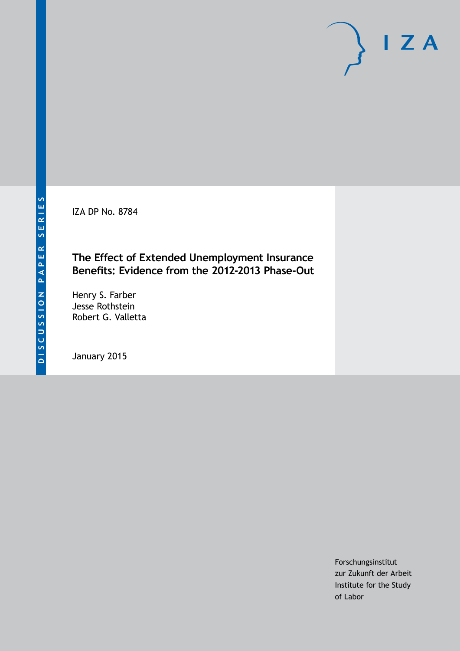IZA DP No. 8784

# **The Effect of Extended Unemployment Insurance Benefits: Evidence from the 2012-2013 Phase-Out**

Henry S. Farber Jesse Rothstein Robert G. Valletta

January 2015

Forschungsinstitut zur Zukunft der Arbeit Institute for the Study of Labor

 $I Z A$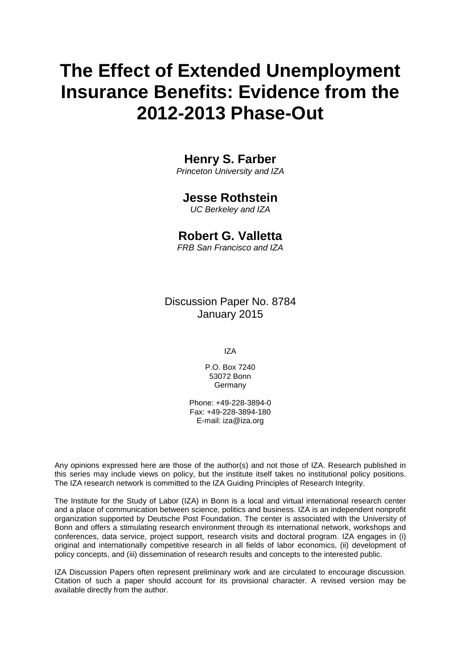# **The Effect of Extended Unemployment Insurance Benefits: Evidence from the 2012-2013 Phase-Out**

# **Henry S. Farber**

*Princeton University and IZA*

## **Jesse Rothstein**

*UC Berkeley and IZA*

## **Robert G. Valletta**

*FRB San Francisco and IZA*

Discussion Paper No. 8784 January 2015

IZA

P.O. Box 7240 53072 Bonn **Germany** 

Phone: +49-228-3894-0 Fax: +49-228-3894-180 E-mail: [iza@iza.org](mailto:iza@iza.org)

Any opinions expressed here are those of the author(s) and not those of IZA. Research published in this series may include views on policy, but the institute itself takes no institutional policy positions. The IZA research network is committed to the IZA Guiding Principles of Research Integrity.

The Institute for the Study of Labor (IZA) in Bonn is a local and virtual international research center and a place of communication between science, politics and business. IZA is an independent nonprofit organization supported by Deutsche Post Foundation. The center is associated with the University of Bonn and offers a stimulating research environment through its international network, workshops and conferences, data service, project support, research visits and doctoral program. IZA engages in (i) original and internationally competitive research in all fields of labor economics, (ii) development of policy concepts, and (iii) dissemination of research results and concepts to the interested public.

<span id="page-1-0"></span>IZA Discussion Papers often represent preliminary work and are circulated to encourage discussion. Citation of such a paper should account for its provisional character. A revised version may be available directly from the author.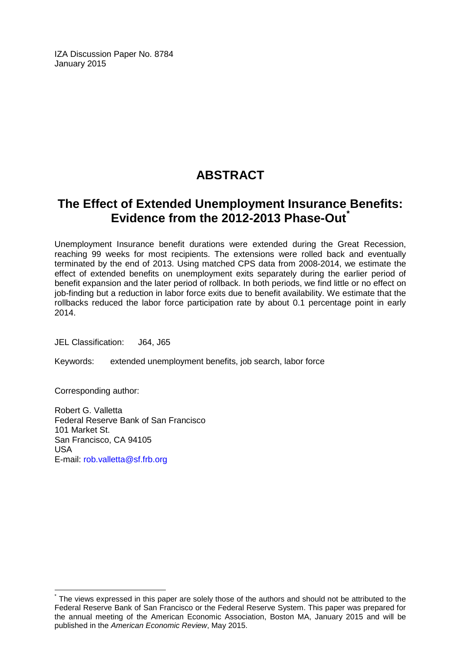IZA Discussion Paper No. 8784 January 2015

# **ABSTRACT**

# **The Effect of Extended Unemployment Insurance Benefits: Evidence from the 2012-2013 Phase-Out[\\*](#page-1-0)**

Unemployment Insurance benefit durations were extended during the Great Recession, reaching 99 weeks for most recipients. The extensions were rolled back and eventually terminated by the end of 2013. Using matched CPS data from 2008-2014, we estimate the effect of extended benefits on unemployment exits separately during the earlier period of benefit expansion and the later period of rollback. In both periods, we find little or no effect on job-finding but a reduction in labor force exits due to benefit availability. We estimate that the rollbacks reduced the labor force participation rate by about 0.1 percentage point in early 2014.

JEL Classification: J64, J65

Keywords: extended unemployment benefits, job search, labor force

Corresponding author:

Robert G. Valletta Federal Reserve Bank of San Francisco 101 Market St. San Francisco, CA 94105 USA E-mail: [rob.valletta@sf.frb.org](mailto:rob.valletta@sf.frb.org)

The views expressed in this paper are solely those of the authors and should not be attributed to the Federal Reserve Bank of San Francisco or the Federal Reserve System. This paper was prepared for the annual meeting of the American Economic Association, Boston MA, January 2015 and will be published in the *American Economic Review*, May 2015.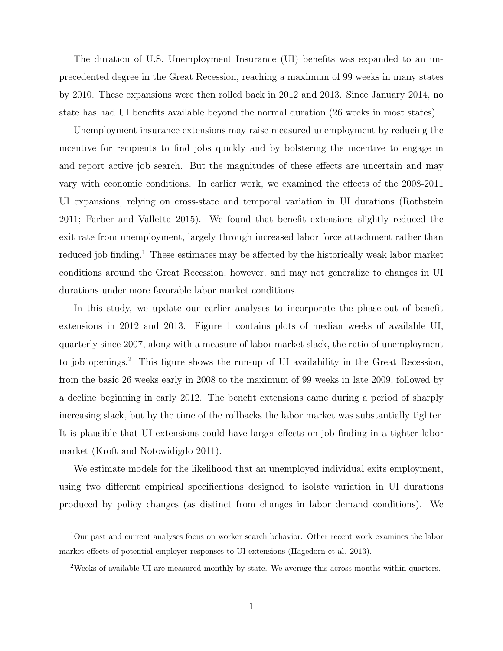The duration of U.S. Unemployment Insurance (UI) benefits was expanded to an unprecedented degree in the Great Recession, reaching a maximum of 99 weeks in many states by 2010. These expansions were then rolled back in 2012 and 2013. Since January 2014, no state has had UI benefits available beyond the normal duration (26 weeks in most states).

Unemployment insurance extensions may raise measured unemployment by reducing the incentive for recipients to find jobs quickly and by bolstering the incentive to engage in and report active job search. But the magnitudes of these effects are uncertain and may vary with economic conditions. In earlier work, we examined the effects of the 2008-2011 UI expansions, relying on cross-state and temporal variation in UI durations (Rothstein 2011; Farber and Valletta 2015). We found that benefit extensions slightly reduced the exit rate from unemployment, largely through increased labor force attachment rather than reduced job finding.<sup>1</sup> These estimates may be affected by the historically weak labor market conditions around the Great Recession, however, and may not generalize to changes in UI durations under more favorable labor market conditions.

In this study, we update our earlier analyses to incorporate the phase-out of benefit extensions in 2012 and 2013. Figure 1 contains plots of median weeks of available UI, quarterly since 2007, along with a measure of labor market slack, the ratio of unemployment to job openings.<sup>2</sup> This figure shows the run-up of UI availability in the Great Recession, from the basic 26 weeks early in 2008 to the maximum of 99 weeks in late 2009, followed by a decline beginning in early 2012. The benefit extensions came during a period of sharply increasing slack, but by the time of the rollbacks the labor market was substantially tighter. It is plausible that UI extensions could have larger effects on job finding in a tighter labor market (Kroft and Notowidigdo 2011).

We estimate models for the likelihood that an unemployed individual exits employment, using two different empirical specifications designed to isolate variation in UI durations produced by policy changes (as distinct from changes in labor demand conditions). We

<sup>1</sup>Our past and current analyses focus on worker search behavior. Other recent work examines the labor market effects of potential employer responses to UI extensions (Hagedorn et al. 2013).

<sup>2</sup>Weeks of available UI are measured monthly by state. We average this across months within quarters.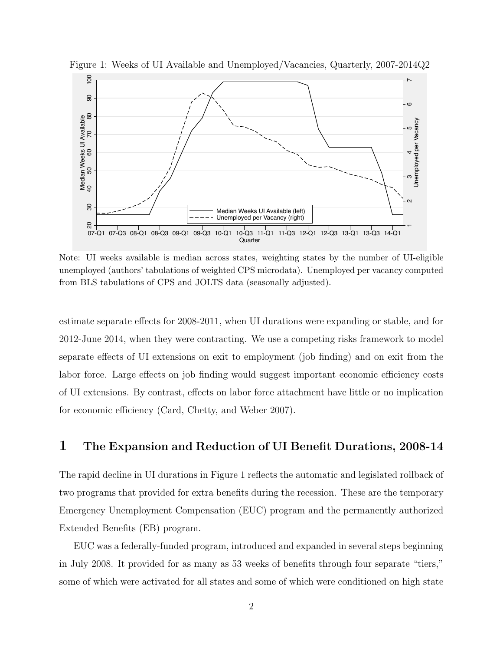

Figure 1: Weeks of UI Available and Unemployed/Vacancies, Quarterly, 2007-2014Q2

Note: UI weeks available is median across states, weighting states by the number of UI-eligible unemployed (authors' tabulations of weighted CPS microdata). Unemployed per vacancy computed from BLS tabulations of CPS and JOLTS data (seasonally adjusted).

estimate separate effects for 2008-2011, when UI durations were expanding or stable, and for 2012-June 2014, when they were contracting. We use a competing risks framework to model separate effects of UI extensions on exit to employment (job finding) and on exit from the labor force. Large effects on job finding would suggest important economic efficiency costs of UI extensions. By contrast, effects on labor force attachment have little or no implication for economic efficiency (Card, Chetty, and Weber 2007).

#### 1 The Expansion and Reduction of UI Benefit Durations, 2008-14

The rapid decline in UI durations in Figure 1 reflects the automatic and legislated rollback of two programs that provided for extra benefits during the recession. These are the temporary Emergency Unemployment Compensation (EUC) program and the permanently authorized Extended Benefits (EB) program.

EUC was a federally-funded program, introduced and expanded in several steps beginning in July 2008. It provided for as many as 53 weeks of benefits through four separate "tiers," some of which were activated for all states and some of which were conditioned on high state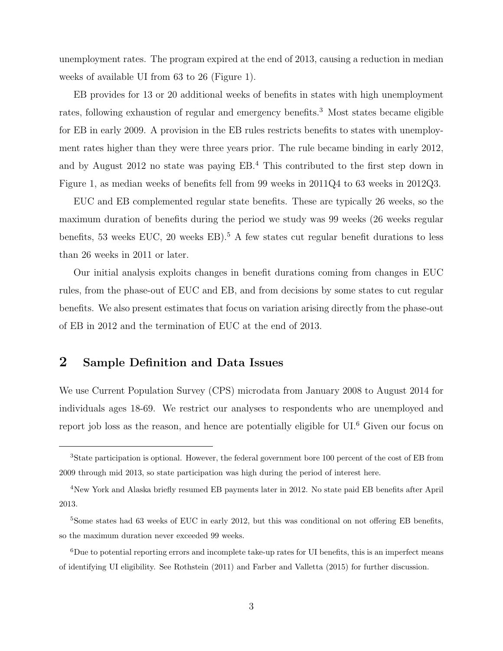unemployment rates. The program expired at the end of 2013, causing a reduction in median weeks of available UI from 63 to 26 (Figure 1).

EB provides for 13 or 20 additional weeks of benefits in states with high unemployment rates, following exhaustion of regular and emergency benefits.<sup>3</sup> Most states became eligible for EB in early 2009. A provision in the EB rules restricts benefits to states with unemployment rates higher than they were three years prior. The rule became binding in early 2012, and by August 2012 no state was paying EB.<sup>4</sup> This contributed to the first step down in Figure 1, as median weeks of benefits fell from 99 weeks in 2011Q4 to 63 weeks in 2012Q3.

EUC and EB complemented regular state benefits. These are typically 26 weeks, so the maximum duration of benefits during the period we study was 99 weeks (26 weeks regular benefits, 53 weeks EUC, 20 weeks EB).<sup>5</sup> A few states cut regular benefit durations to less than 26 weeks in 2011 or later.

Our initial analysis exploits changes in benefit durations coming from changes in EUC rules, from the phase-out of EUC and EB, and from decisions by some states to cut regular benefits. We also present estimates that focus on variation arising directly from the phase-out of EB in 2012 and the termination of EUC at the end of 2013.

#### 2 Sample Definition and Data Issues

We use Current Population Survey (CPS) microdata from January 2008 to August 2014 for individuals ages 18-69. We restrict our analyses to respondents who are unemployed and report job loss as the reason, and hence are potentially eligible for UI.<sup>6</sup> Given our focus on

<sup>&</sup>lt;sup>3</sup>State participation is optional. However, the federal government bore 100 percent of the cost of EB from 2009 through mid 2013, so state participation was high during the period of interest here.

<sup>4</sup>New York and Alaska briefly resumed EB payments later in 2012. No state paid EB benefits after April 2013.

<sup>&</sup>lt;sup>5</sup>Some states had 63 weeks of EUC in early 2012, but this was conditional on not offering EB benefits. so the maximum duration never exceeded 99 weeks.

<sup>6</sup>Due to potential reporting errors and incomplete take-up rates for UI benefits, this is an imperfect means of identifying UI eligibility. See Rothstein (2011) and Farber and Valletta (2015) for further discussion.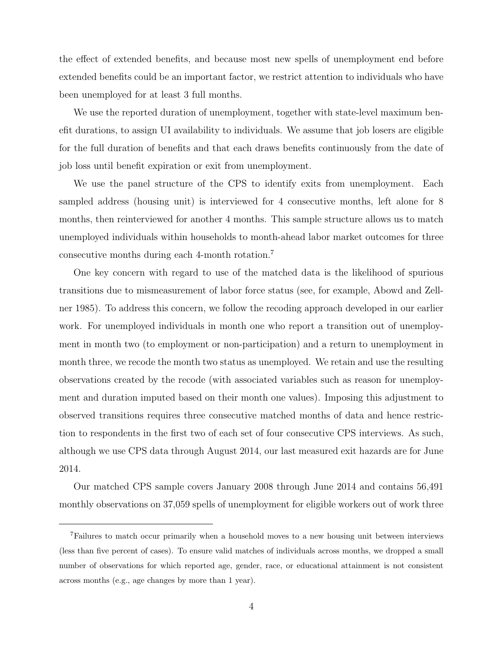the effect of extended benefits, and because most new spells of unemployment end before extended benefits could be an important factor, we restrict attention to individuals who have been unemployed for at least 3 full months.

We use the reported duration of unemployment, together with state-level maximum benefit durations, to assign UI availability to individuals. We assume that job losers are eligible for the full duration of benefits and that each draws benefits continuously from the date of job loss until benefit expiration or exit from unemployment.

We use the panel structure of the CPS to identify exits from unemployment. Each sampled address (housing unit) is interviewed for 4 consecutive months, left alone for 8 months, then reinterviewed for another 4 months. This sample structure allows us to match unemployed individuals within households to month-ahead labor market outcomes for three consecutive months during each 4-month rotation.<sup>7</sup>

One key concern with regard to use of the matched data is the likelihood of spurious transitions due to mismeasurement of labor force status (see, for example, Abowd and Zellner 1985). To address this concern, we follow the recoding approach developed in our earlier work. For unemployed individuals in month one who report a transition out of unemployment in month two (to employment or non-participation) and a return to unemployment in month three, we recode the month two status as unemployed. We retain and use the resulting observations created by the recode (with associated variables such as reason for unemployment and duration imputed based on their month one values). Imposing this adjustment to observed transitions requires three consecutive matched months of data and hence restriction to respondents in the first two of each set of four consecutive CPS interviews. As such, although we use CPS data through August 2014, our last measured exit hazards are for June 2014.

Our matched CPS sample covers January 2008 through June 2014 and contains 56,491 monthly observations on 37,059 spells of unemployment for eligible workers out of work three

<sup>7</sup>Failures to match occur primarily when a household moves to a new housing unit between interviews (less than five percent of cases). To ensure valid matches of individuals across months, we dropped a small number of observations for which reported age, gender, race, or educational attainment is not consistent across months (e.g., age changes by more than 1 year).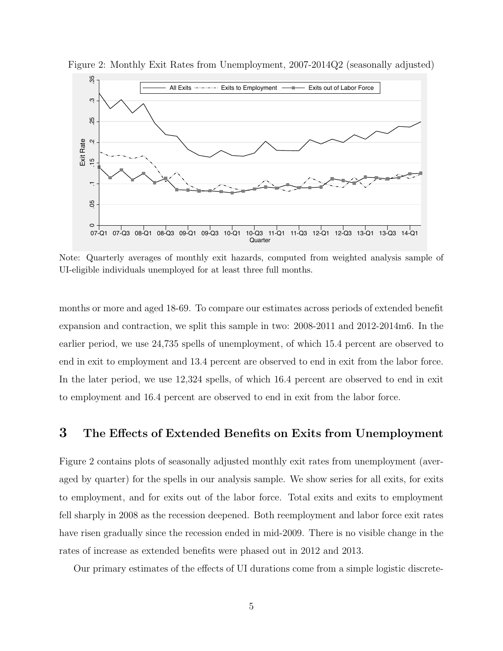

Figure 2: Monthly Exit Rates from Unemployment, 2007-2014Q2 (seasonally adjusted)

Note: Quarterly averages of monthly exit hazards, computed from weighted analysis sample of UI-eligible individuals unemployed for at least three full months.

months or more and aged 18-69. To compare our estimates across periods of extended benefit expansion and contraction, we split this sample in two: 2008-2011 and 2012-2014m6. In the earlier period, we use 24,735 spells of unemployment, of which 15.4 percent are observed to end in exit to employment and 13.4 percent are observed to end in exit from the labor force. In the later period, we use 12,324 spells, of which 16.4 percent are observed to end in exit to employment and 16.4 percent are observed to end in exit from the labor force.

# 3 The Effects of Extended Benefits on Exits from Unemployment

Figure 2 contains plots of seasonally adjusted monthly exit rates from unemployment (averaged by quarter) for the spells in our analysis sample. We show series for all exits, for exits to employment, and for exits out of the labor force. Total exits and exits to employment fell sharply in 2008 as the recession deepened. Both reemployment and labor force exit rates have risen gradually since the recession ended in mid-2009. There is no visible change in the rates of increase as extended benefits were phased out in 2012 and 2013.

Our primary estimates of the effects of UI durations come from a simple logistic discrete-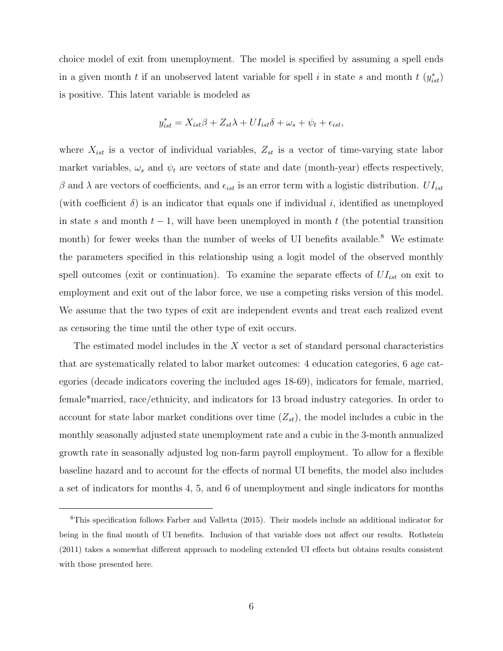choice model of exit from unemployment. The model is specified by assuming a spell ends in a given month t if an unobserved latent variable for spell i in state s and month t  $(y_{ist}^*)$ is positive. This latent variable is modeled as

$$
y_{ist}^* = X_{ist}\beta + Z_{st}\lambda + UI_{ist}\delta + \omega_s + \psi_t + \epsilon_{ist},
$$

where  $X_{ist}$  is a vector of individual variables,  $Z_{st}$  is a vector of time-varying state labor market variables,  $\omega_s$  and  $\psi_t$  are vectors of state and date (month-year) effects respectively, β and λ are vectors of coefficients, and  $\epsilon_{ist}$  is an error term with a logistic distribution.  $UI_{ist}$ (with coefficient  $\delta$ ) is an indicator that equals one if individual i, identified as unemployed in state s and month  $t-1$ , will have been unemployed in month t (the potential transition month) for fewer weeks than the number of weeks of UI benefits available.<sup>8</sup> We estimate the parameters specified in this relationship using a logit model of the observed monthly spell outcomes (exit or continuation). To examine the separate effects of  $UI_{ist}$  on exit to employment and exit out of the labor force, we use a competing risks version of this model. We assume that the two types of exit are independent events and treat each realized event as censoring the time until the other type of exit occurs.

The estimated model includes in the  $X$  vector a set of standard personal characteristics that are systematically related to labor market outcomes: 4 education categories, 6 age categories (decade indicators covering the included ages 18-69), indicators for female, married, female\*married, race/ethnicity, and indicators for 13 broad industry categories. In order to account for state labor market conditions over time  $(Z_{st})$ , the model includes a cubic in the monthly seasonally adjusted state unemployment rate and a cubic in the 3-month annualized growth rate in seasonally adjusted log non-farm payroll employment. To allow for a flexible baseline hazard and to account for the effects of normal UI benefits, the model also includes a set of indicators for months 4, 5, and 6 of unemployment and single indicators for months

<sup>8</sup>This specification follows Farber and Valletta (2015). Their models include an additional indicator for being in the final month of UI benefits. Inclusion of that variable does not affect our results. Rothstein (2011) takes a somewhat different approach to modeling extended UI effects but obtains results consistent with those presented here.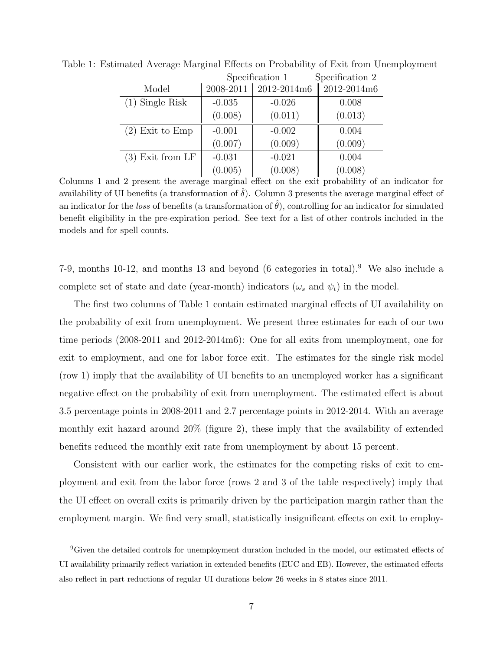|                    | Specification 1 |             | Specification 2 |
|--------------------|-----------------|-------------|-----------------|
| Model              | 2008-2011       | 2012-2014m6 | 2012-2014m6     |
| $(1)$ Single Risk  | $-0.035$        | $-0.026$    | 0.008           |
|                    | (0.008)         | (0.011)     | (0.013)         |
| $(2)$ Exit to Emp  | $-0.001$        | $-0.002$    | 0.004           |
|                    | (0.007)         | (0.009)     | (0.009)         |
| $(3)$ Exit from LF | $-0.031$        | $-0.021$    | 0.004           |
|                    | (0.005)         | (0.008)     | (0.008)         |

Table 1: Estimated Average Marginal Effects on Probability of Exit from Unemployment

Columns 1 and 2 present the average marginal effect on the exit probability of an indicator for availability of UI benefits (a transformation of  $\hat{\delta}$ ). Column 3 presents the average marginal effect of an indicator for the loss of benefits (a transformation of  $\theta$ ), controlling for an indicator for simulated benefit eligibility in the pre-expiration period. See text for a list of other controls included in the models and for spell counts.

7-9, months 10-12, and months 13 and beyond  $(6 \text{ categories in total})$ . We also include a complete set of state and date (year-month) indicators ( $\omega_s$  and  $\psi_t$ ) in the model.

The first two columns of Table 1 contain estimated marginal effects of UI availability on the probability of exit from unemployment. We present three estimates for each of our two time periods (2008-2011 and 2012-2014m6): One for all exits from unemployment, one for exit to employment, and one for labor force exit. The estimates for the single risk model (row 1) imply that the availability of UI benefits to an unemployed worker has a significant negative effect on the probability of exit from unemployment. The estimated effect is about 3.5 percentage points in 2008-2011 and 2.7 percentage points in 2012-2014. With an average monthly exit hazard around 20% (figure 2), these imply that the availability of extended benefits reduced the monthly exit rate from unemployment by about 15 percent.

Consistent with our earlier work, the estimates for the competing risks of exit to employment and exit from the labor force (rows 2 and 3 of the table respectively) imply that the UI effect on overall exits is primarily driven by the participation margin rather than the employment margin. We find very small, statistically insignificant effects on exit to employ-

<sup>9</sup>Given the detailed controls for unemployment duration included in the model, our estimated effects of UI availability primarily reflect variation in extended benefits (EUC and EB). However, the estimated effects also reflect in part reductions of regular UI durations below 26 weeks in 8 states since 2011.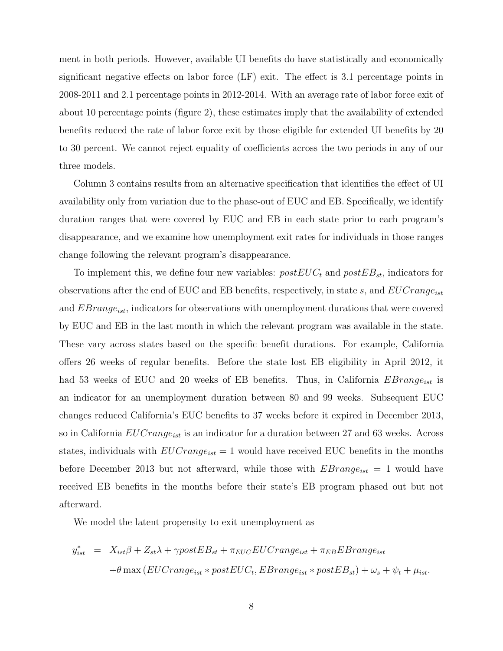ment in both periods. However, available UI benefits do have statistically and economically significant negative effects on labor force (LF) exit. The effect is 3.1 percentage points in 2008-2011 and 2.1 percentage points in 2012-2014. With an average rate of labor force exit of about 10 percentage points (figure 2), these estimates imply that the availability of extended benefits reduced the rate of labor force exit by those eligible for extended UI benefits by 20 to 30 percent. We cannot reject equality of coefficients across the two periods in any of our three models.

Column 3 contains results from an alternative specification that identifies the effect of UI availability only from variation due to the phase-out of EUC and EB. Specifically, we identify duration ranges that were covered by EUC and EB in each state prior to each program's disappearance, and we examine how unemployment exit rates for individuals in those ranges change following the relevant program's disappearance.

To implement this, we define four new variables:  $postEUC_t$  and  $postEB_{st}$ , indicators for observations after the end of EUC and EB benefits, respectively, in state s, and  $EUCrange_{ist}$ and  $EBrange_{ist}$ , indicators for observations with unemployment durations that were covered by EUC and EB in the last month in which the relevant program was available in the state. These vary across states based on the specific benefit durations. For example, California offers 26 weeks of regular benefits. Before the state lost EB eligibility in April 2012, it had 53 weeks of EUC and 20 weeks of EB benefits. Thus, in California  $EBrange_{ist}$  is an indicator for an unemployment duration between 80 and 99 weeks. Subsequent EUC changes reduced California's EUC benefits to 37 weeks before it expired in December 2013, so in California  $EUCrange_{ist}$  is an indicator for a duration between 27 and 63 weeks. Across states, individuals with  $EUCrange_{ist} = 1$  would have received EUC benefits in the months before December 2013 but not afterward, while those with  $EBrange_{ist} = 1$  would have received EB benefits in the months before their state's EB program phased out but not afterward.

We model the latent propensity to exit unemployment as

$$
y_{ist}^{*} = X_{ist}\beta + Z_{st}\lambda + \gamma postEB_{st} + \pi_{EUC} EUCrange_{ist} + \pi_{EB}EBrange_{ist}
$$

$$
+ \theta \max(EUCrange_{ist} * postEUC_t, EBrange_{ist} * postEB_{st}) + \omega_s + \psi_t + \mu_{ist}.
$$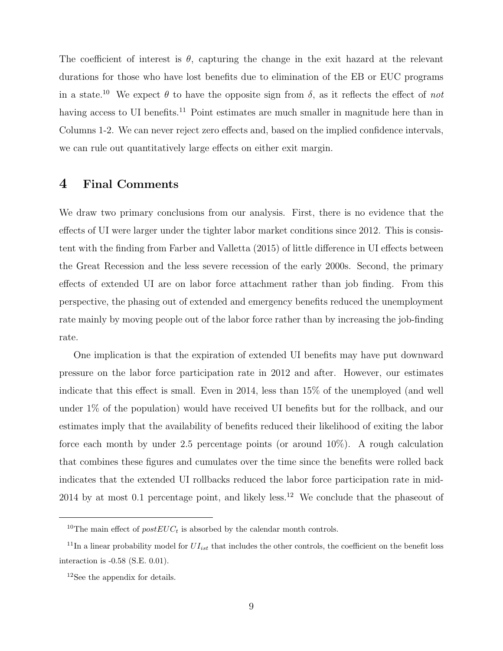The coefficient of interest is  $\theta$ , capturing the change in the exit hazard at the relevant durations for those who have lost benefits due to elimination of the EB or EUC programs in a state.<sup>10</sup> We expect  $\theta$  to have the opposite sign from  $\delta$ , as it reflects the effect of not having access to UI benefits.<sup>11</sup> Point estimates are much smaller in magnitude here than in Columns 1-2. We can never reject zero effects and, based on the implied confidence intervals, we can rule out quantitatively large effects on either exit margin.

#### 4 Final Comments

We draw two primary conclusions from our analysis. First, there is no evidence that the effects of UI were larger under the tighter labor market conditions since 2012. This is consistent with the finding from Farber and Valletta (2015) of little difference in UI effects between the Great Recession and the less severe recession of the early 2000s. Second, the primary effects of extended UI are on labor force attachment rather than job finding. From this perspective, the phasing out of extended and emergency benefits reduced the unemployment rate mainly by moving people out of the labor force rather than by increasing the job-finding rate.

One implication is that the expiration of extended UI benefits may have put downward pressure on the labor force participation rate in 2012 and after. However, our estimates indicate that this effect is small. Even in 2014, less than 15% of the unemployed (and well under 1% of the population) would have received UI benefits but for the rollback, and our estimates imply that the availability of benefits reduced their likelihood of exiting the labor force each month by under 2.5 percentage points (or around 10%). A rough calculation that combines these figures and cumulates over the time since the benefits were rolled back indicates that the extended UI rollbacks reduced the labor force participation rate in mid- $2014$  by at most 0.1 percentage point, and likely less.<sup>12</sup> We conclude that the phaseout of

<sup>&</sup>lt;sup>10</sup>The main effect of  $postEUC_t$  is absorbed by the calendar month controls.

<sup>&</sup>lt;sup>11</sup>In a linear probability model for  $UI_{ist}$  that includes the other controls, the coefficient on the benefit loss interaction is -0.58 (S.E. 0.01).

<sup>&</sup>lt;sup>12</sup>See the appendix for details.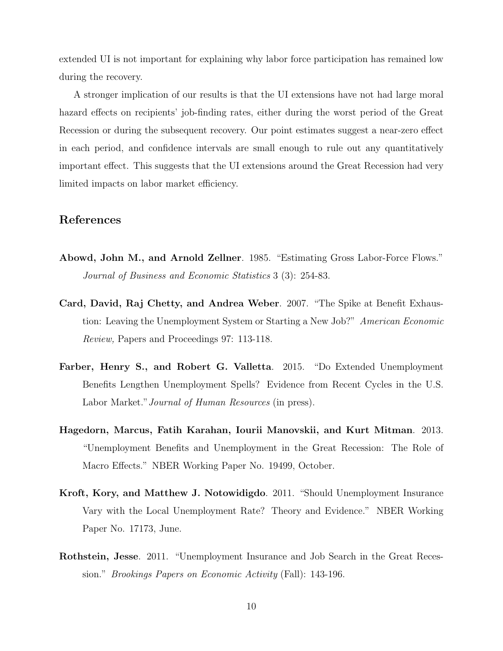extended UI is not important for explaining why labor force participation has remained low during the recovery.

A stronger implication of our results is that the UI extensions have not had large moral hazard effects on recipients' job-finding rates, either during the worst period of the Great Recession or during the subsequent recovery. Our point estimates suggest a near-zero effect in each period, and confidence intervals are small enough to rule out any quantitatively important effect. This suggests that the UI extensions around the Great Recession had very limited impacts on labor market efficiency.

#### References

- Abowd, John M., and Arnold Zellner. 1985. "Estimating Gross Labor-Force Flows." Journal of Business and Economic Statistics 3 (3): 254-83.
- Card, David, Raj Chetty, and Andrea Weber. 2007. "The Spike at Benefit Exhaustion: Leaving the Unemployment System or Starting a New Job?" American Economic Review, Papers and Proceedings 97: 113-118.
- Farber, Henry S., and Robert G. Valletta. 2015. "Do Extended Unemployment Benefits Lengthen Unemployment Spells? Evidence from Recent Cycles in the U.S. Labor Market." Journal of Human Resources (in press).
- Hagedorn, Marcus, Fatih Karahan, Iourii Manovskii, and Kurt Mitman. 2013. "Unemployment Benefits and Unemployment in the Great Recession: The Role of Macro Effects." NBER Working Paper No. 19499, October.
- Kroft, Kory, and Matthew J. Notowidigdo. 2011. "Should Unemployment Insurance Vary with the Local Unemployment Rate? Theory and Evidence." NBER Working Paper No. 17173, June.
- Rothstein, Jesse. 2011. "Unemployment Insurance and Job Search in the Great Recession." Brookings Papers on Economic Activity (Fall): 143-196.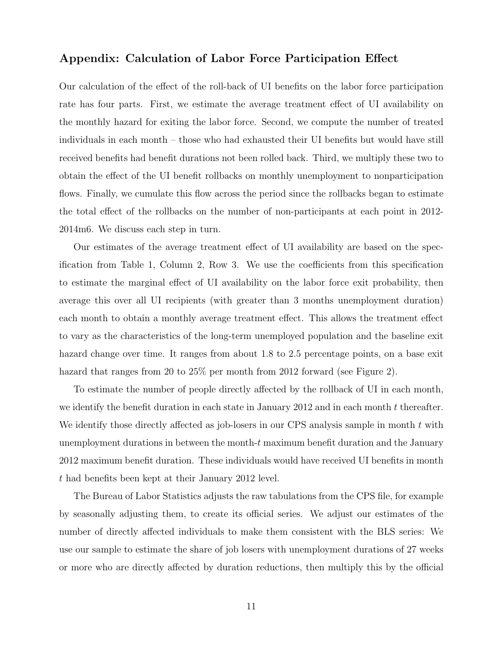#### Appendix: Calculation of Labor Force Participation Effect

Our calculation of the effect of the roll-back of UI benefits on the labor force participation rate has four parts. First, we estimate the average treatment effect of UI availability on the monthly hazard for exiting the labor force. Second, we compute the number of treated individuals in each month – those who had exhausted their UI benefits but would have still received benefits had benefit durations not been rolled back. Third, we multiply these two to obtain the effect of the UI benefit rollbacks on monthly unemployment to nonparticipation flows. Finally, we cumulate this flow across the period since the rollbacks began to estimate the total effect of the rollbacks on the number of non-participants at each point in 2012- 2014m6. We discuss each step in turn.

Our estimates of the average treatment effect of UI availability are based on the specification from Table 1, Column 2, Row 3. We use the coefficients from this specification to estimate the marginal effect of UI availability on the labor force exit probability, then average this over all UI recipients (with greater than 3 months unemployment duration) each month to obtain a monthly average treatment effect. This allows the treatment effect to vary as the characteristics of the long-term unemployed population and the baseline exit hazard change over time. It ranges from about 1.8 to 2.5 percentage points, on a base exit hazard that ranges from 20 to 25% per month from 2012 forward (see Figure 2).

To estimate the number of people directly affected by the rollback of UI in each month, we identify the benefit duration in each state in January 2012 and in each month  $t$  thereafter. We identify those directly affected as job-losers in our CPS analysis sample in month  $t$  with unemployment durations in between the month- $t$  maximum benefit duration and the January 2012 maximum benefit duration. These individuals would have received UI benefits in month t had benefits been kept at their January 2012 level.

The Bureau of Labor Statistics adjusts the raw tabulations from the CPS file, for example by seasonally adjusting them, to create its official series. We adjust our estimates of the number of directly affected individuals to make them consistent with the BLS series: We use our sample to estimate the share of job losers with unemployment durations of 27 weeks or more who are directly affected by duration reductions, then multiply this by the official